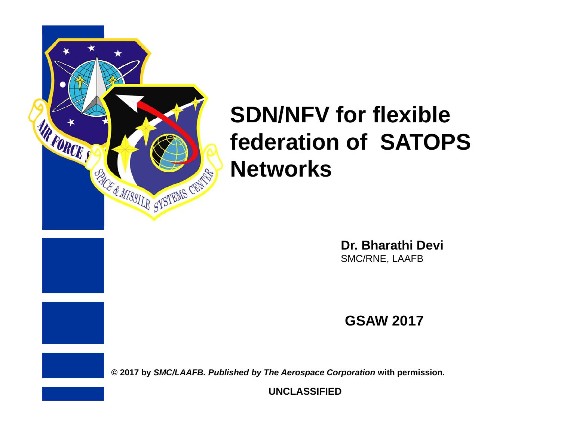

### **SDN/NFV for flexible federation of SATOPS Networks**

**Dr. Bharathi Devi**SMC/RNE, LAAFB

**GSAW 2017**

**© 2017 by** *SMC/LAAFB. Published by The Aerospace Corporation* **with permission.**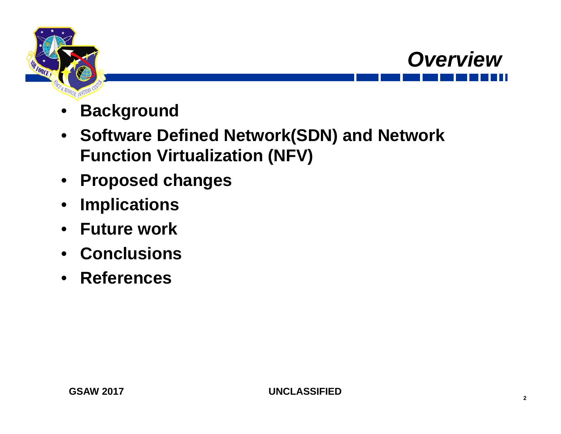



- •**Background**
- **Software Defined Network(SDN) and Network Function Virtualization (NFV)**
- **Proposed changes**
- $\bullet$ **Implications**
- **Future work**
- **Conclusions**
- **References**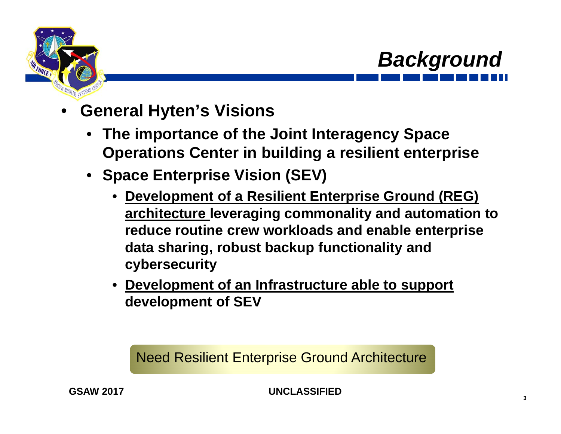



- • **General Hyten's Visions**
	- • **The importance of the Joint Interagency Space Operations Center in building a resilient enterprise**
	- **Space Enterprise Vision (SEV)**
		- **Development of a Resilient Enterprise Ground (REG) architecture leveraging commonality and automation to reduce routine crew workloads and enable enterprise data sharing, robust backup functionality and cybersecurity**
		- **Development of an Infrastructure able to support development of SEV**

Need Resilient Enterprise Ground Architecture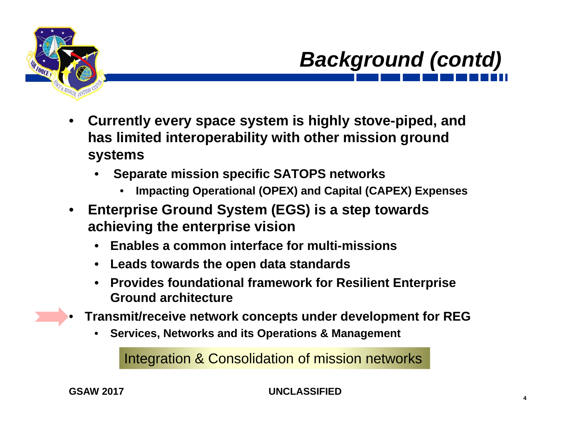



- $\bullet$  **Currently every space system is highly stove-piped, and has limited interoperability with other mission ground systems**
	- **Separate mission specific SATOPS networks**
		- **Impacting Operational (OPEX) and Capital (CAPEX) Expenses**
- • **Enterprise Ground System (EGS) is a step towards achieving the enterprise vision** 
	- •**Enables a common interface for multi-missions**
	- **Leads towards the open data standards**
	- • **Provides foundational framework for Resilient Enterprise Ground architecture**
- • **Transmit/receive network concepts under development for REG**
	- •**Services, Networks and its Operations & Management**

Integration & Consolidation of mission networks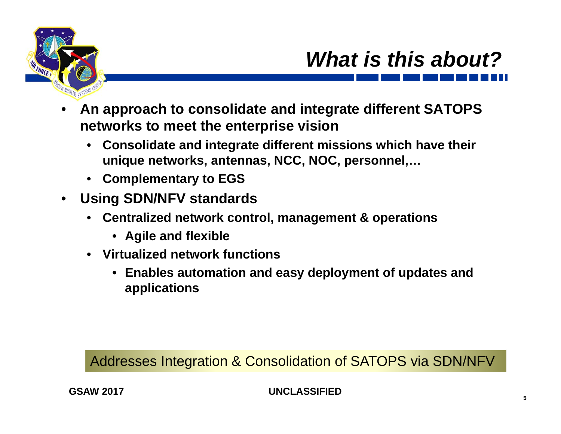



- • **An approach to consolidate and integrate different SATOPS networks to meet the enterprise vision**
	- $\bullet$  **Consolidate and integrate different missions which have their unique networks, antennas, NCC, NOC, personnel,…**
	- **Complementary to EGS**
- $\bullet$  **Using SDN/NFV standards**
	- **Centralized network control, management & operations** 
		- **Agile and flexible**
	- **Virtualized network functions**
		- **Enables automation and easy deployment of updates and applications**

Addresses Integration & Consolidation of SATOPS via SDN/NFV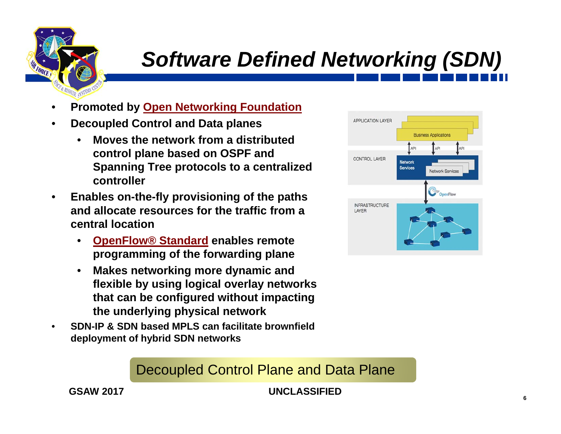

### *Software Defined Networking (SDN)*

- •**Promoted by Open Networking Foundation**
- $\bullet$  **Decoupled Control and Data planes**
	- • **Moves the network from a distributed control plane based on OSPF and Spanning Tree protocols to a centralized controller**
- • **Enables on-the-fly provisioning of the paths and allocate resources for the traffic from a central location**
	- $\bullet$  **OpenFlow® Standard enables remote programming of the forwarding plane**
	- $\bullet$  **Makes networking more dynamic and flexible by using logical overlay networks that can be configured without impacting the underlying physical network**
- **SDN-IP & SDN based MPLS can facilitate brownfield deployment of hybrid SDN networks**

**APPLICATION LAYER Business Applications CONTROL LAYER** Network Services Network Services OpenFlow **INFRASTRUCTURE I AVER** 

Decoupled Control Plane and Data Plane

•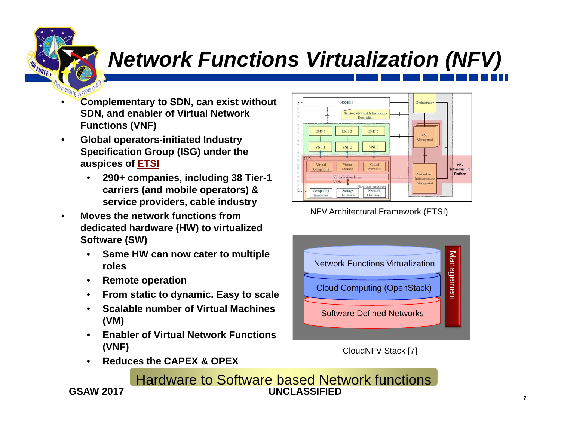

#### *Network Functions Virtualization (NFV)*

- • **Complementary to SDN, can exist without SDN, and enabler of Virtual Network Functions (VNF)**
- • **Global operators-initiated Industry Specification Group (ISG) under the auspices of ETSI**
	- • **290+ companies, including 38 Tier-1 carriers (and mobile operators) & service providers, cable industry**
- • **Moves the network functions from dedicated hardware (HW) to virtualized Software (SW)**
	- $\bullet$  **Same HW can now cater to multiple roles**
	- •**Remote operation**
	- •**From static to dynamic. Easy to scale**
	- • **Scalable number of Virtual Machines (VM)**
	- • **Enabler of Virtual Network Functions (VNF)**
	- •**Reduces the CAPEX & OPEX**



NFV Architectural Framework (ETSI)



CloudNFV Stack [7]

#### **UNCLASSIFIED**Hardware to Software based Network functions

**GSAW 2017**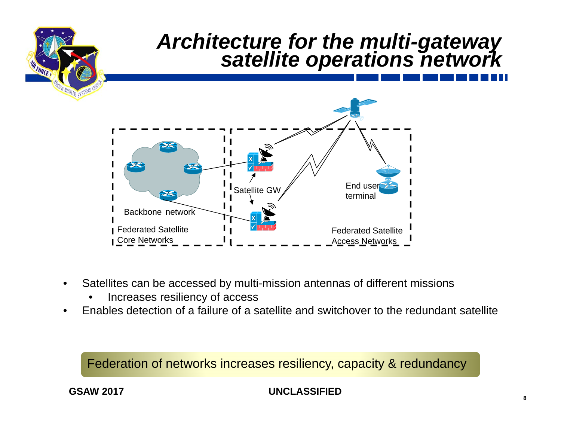## *Architecture for the multi-gateway satellite operations network*  × End user<br>terminal Satellite GWBackbone networkFederated Satellite Federated Satellite

- • Satellites can be accessed by multi-mission antennas of different missions
	- •Increases resiliency of access

Core Networks

•Enables detection of a failure of a satellite and switchover to the redundant satellite

Federation of networks increases resiliency, capacity & redundancy

**UNCLASSIFIED**

A<u>cces</u>s Network<u>s</u>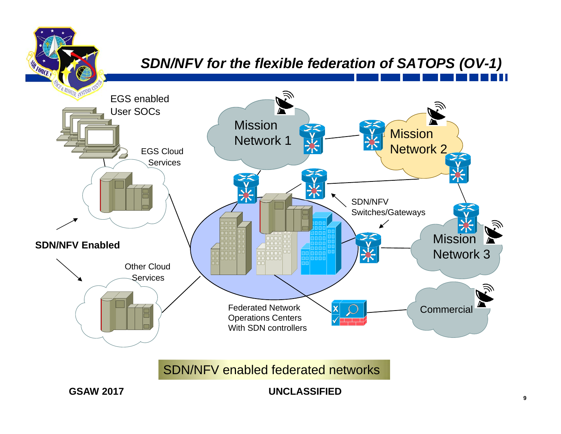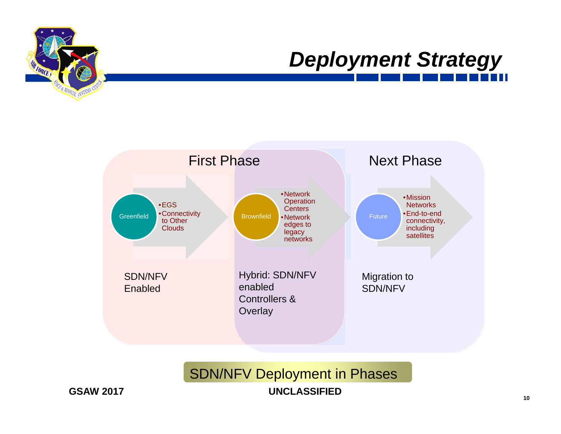

## *Deployment Strategy*



SDN/NFV Deployment in Phases

**GSAW 2017**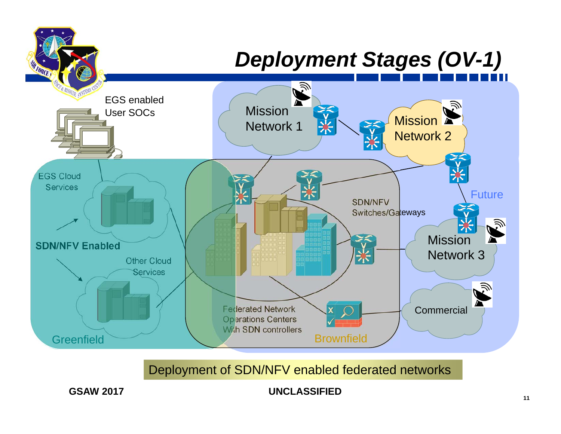

Deployment of SDN/NFV enabled federated networks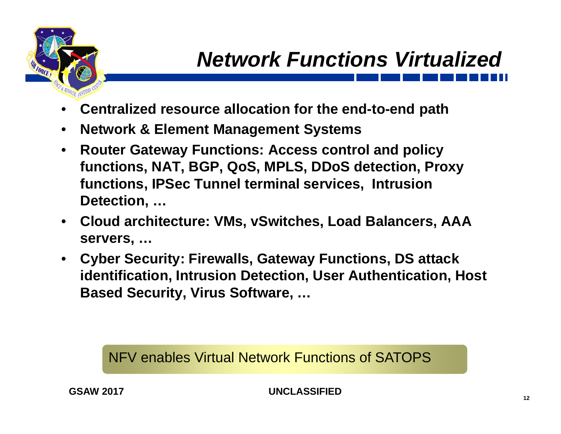

#### *Network Functions Virtualized*

- •**Centralized resource allocation for the end-to-end path**
- $\bullet$ **Network & Element Management Systems**
- $\bullet$  **Router Gateway Functions: Access control and policy functions, NAT, BGP, QoS, MPLS, DDoS detection, Proxy functions, IPSec Tunnel terminal services, Intrusion Detection, …**
- $\bullet$  **Cloud architecture: VMs, vSwitches, Load Balancers, AAA servers, …**
- $\bullet$  **Cyber Security: Firewalls, Gateway Functions, DS attack identification, Intrusion Detection, User Authentication, Host Based Security, Virus Software, …**

#### NFV enables Virtual Network Functions of SATOPS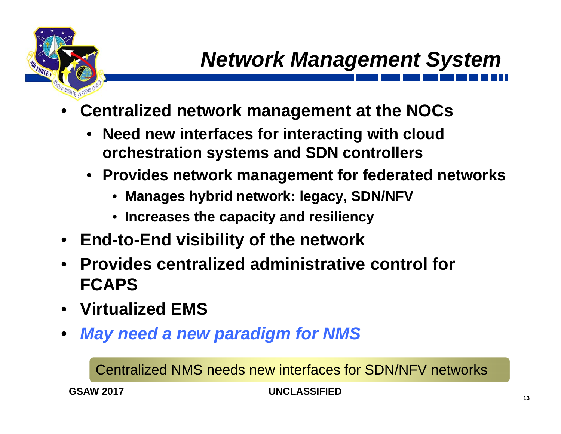

### *Network Management System*

- • **Centralized network management at the NOCs**
	- • **Need new interfaces for interacting with cloud orchestration systems and SDN controllers**
	- **Provides network management for federated networks**
		- **Manages hybrid network: legacy, SDN/NFV**
		- **Increases the capacity and resiliency**
- **End-to-End visibility of the network**
- $\bullet$  **Provides centralized administrative control for FCAPS**
- **Virtualized EMS**
- $\bullet$ *May need a new paradigm for NMS*

Centralized NMS needs new interfaces for SDN/NFV networks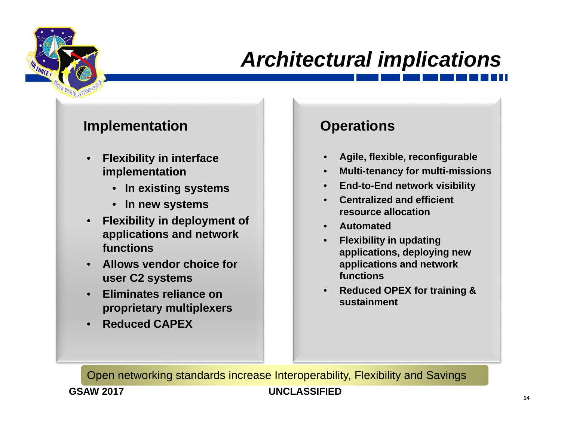

#### *Architectural implications*

#### **Implementation**

- • **Flexibility in interface implementation**
	- **In existing systems**
	- •**In new systems**
- $\bullet$  **Flexibility in deployment of applications and network functions**
- **Allows vendor choice for user C2 systems**
- $\bullet$  **Eliminates reliance on proprietary multiplexers**
- •**Reduced CAPEX**

#### **Operations**

- $\bullet$ **Agile, flexible, reconfigurable**
- •**Multi-tenancy for multi-missions**
- •**End-to-End network visibility**
- • **Centralized and efficient resource allocation**
- •**Automated**
- $\bullet$  **Flexibility in updating applications, deploying new applications and network functions**
- $\bullet$  **Reduced OPEX for training & sustainment**

Open networking standards increase Interoperability, Flexibility and Savings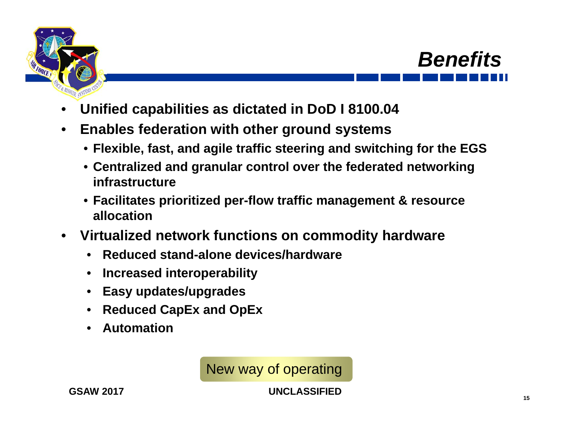

*Benefits*

- •**Unified capabilities as dictated in DoD I 8100.04**
- $\bullet$  **Enables federation with other ground systems**
	- **Flexible, fast, and agile traffic steering and switching for the EGS**
	- **Centralized and granular control over the federated networking infrastructure**
	- **Facilitates prioritized per-flow traffic management & resource allocation**
- **Virtualized network functions on commodity hardware**
	- **Reduced stand-alone devices/hardware**
	- **Increased interoperability**
	- $\bullet$ **Easy updates/upgrades**
	- •**Reduced CapEx and OpEx**
	- **Automation**

New way of operating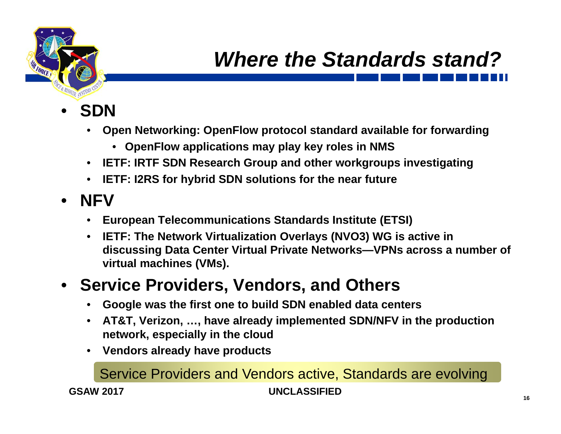

#### *Where the Standards stand?*

- • **SDN** 
	- • **Open Networking: OpenFlow protocol standard available for forwarding**
		- **OpenFlow applications may play key roles in NMS**
	- $\bullet$ **IETF: IRTF SDN Research Group and other workgroups investigating**
	- **IETF: I2RS for hybrid SDN solutions for the near future**
- $\bullet$  **NFV**
	- •**European Telecommunications Standards Institute (ETSI)**
	- **IETF: The Network Virtualization Overlays (NVO3) WG is active in discussing Data Center Virtual Private Networks—VPNs across a number of virtual machines (VMs).**

#### • **Service Providers, Vendors, and Others**

- $\bullet$ **Google was the first one to build SDN enabled data centers**
- • **AT&T, Verizon, …, have already implemented SDN/NFV in the production network, especially in the cloud**
- $\bullet$ **Vendors already have products**

• **Cisco, Brocade have OpenFlow-friendly products** Service Providers and Vendors active, Standards are evolving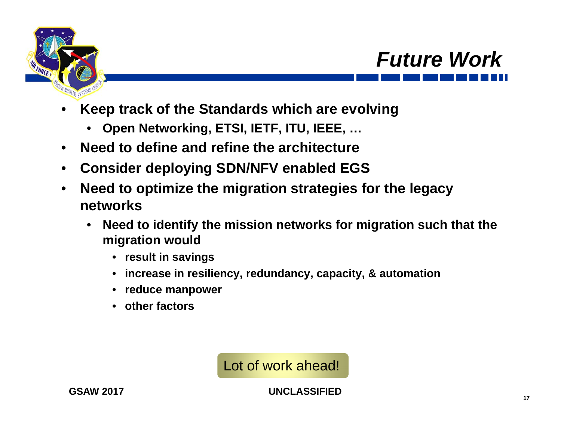

*Future Work*

- • **Keep track of the Standards which are evolving**
	- •**Open Networking, ETSI, IETF, ITU, IEEE, …**
- $\bullet$ **Need to define and refine the architecture**
- $\bullet$ **Consider deploying SDN/NFV enabled EGS**
- $\bullet$  **Need to optimize the migration strategies for the legacy networks**
	- $\bullet$  **Need to identify the mission networks for migration such that the migration would** 
		- **result in savings**
		- **increase in resiliency, redundancy, capacity, & automation**
		- **reduce manpower**
		- **other factors**

Lot of work ahead!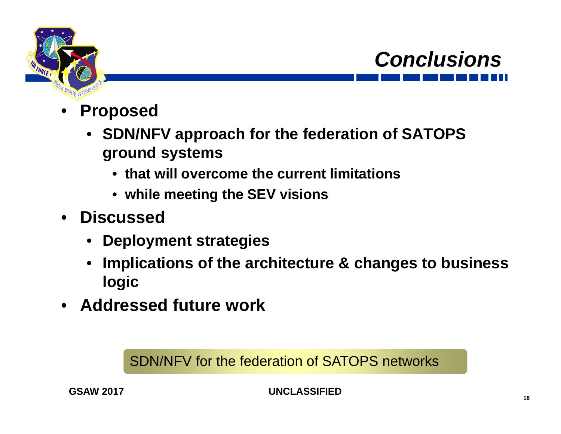



- • **Proposed** 
	- **SDN/NFV approach for the federation of SATOPS ground systems** 
		- **that will overcome the current limitations**
		- **while meeting the SEV visions**
- **Discussed** 
	- **Deployment strategies**
	- $\bullet$  **Implications of the architecture & changes to business logic**
- **Addressed future work**

SDN/NFV for the federation of SATOPS networks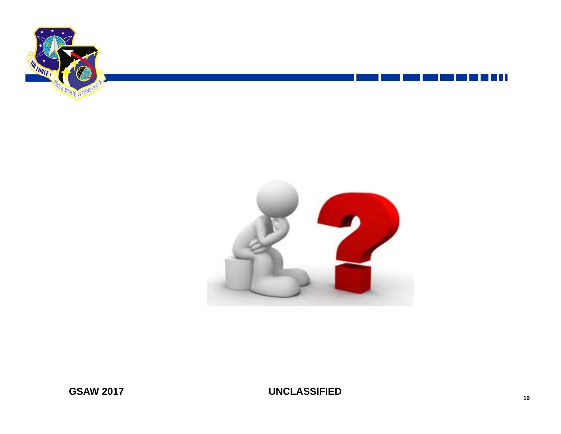



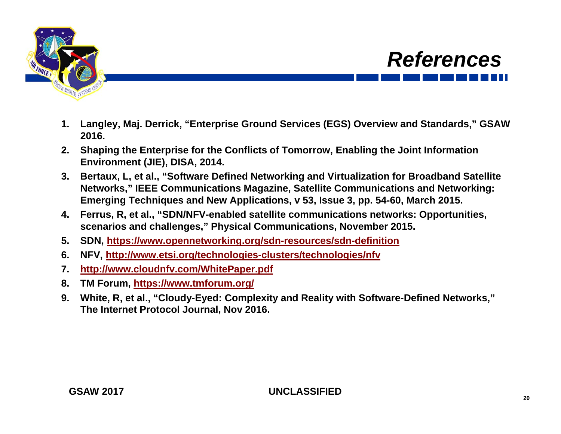

- **1. Langley, Maj. Derrick, "Enterprise Ground Services (EGS) Overview and Standards," GSAW 2016.**
- **2. Shaping the Enterprise for the Conflicts of Tomorrow, Enabling the Joint Information Environment (JIE), DISA, 2014.**
- **3. Bertaux, L, et al., "Software Defined Networking and Virtualization for Broadband Satellite Networks," IEEE Communications Magazine, Satellite Communications and Networking: Emerging Techniques and New Applications, v 53, Issue 3, pp. 54-60, March 2015.**
- **4. Ferrus, R, et al., "SDN/NFV-enabled satellite communications networks: Opportunities, scenarios and challenges," Physical Communications, November 2015.**
- **5. SDN, https://www.opennetworking.org/sdn-resources/sdn-definition**
- **6. NFV, http://www.etsi.org/technologies-clusters/technologies/nfv**
- **7.http://www.cloudnfv.com/WhitePaper.pdf**
- **8. TM Forum, https://www.tmforum.org/**
- **9. White, R, et al., "Cloudy-Eyed: Complexity and Reality with Software-Defined Networks," The Internet Protocol Journal, Nov 2016.**

*References*